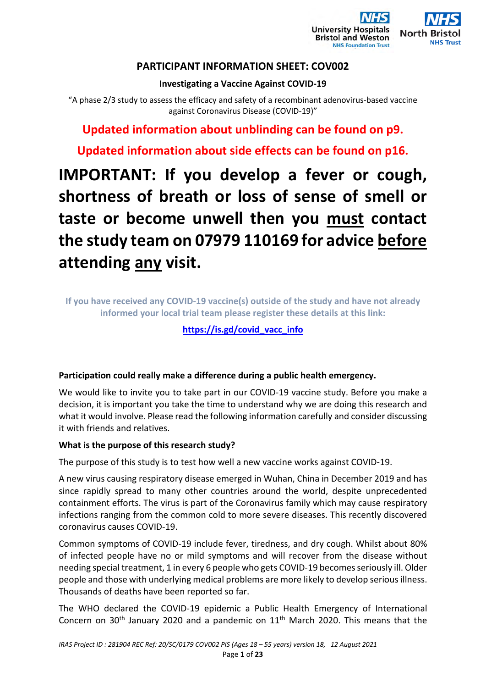

# **PARTICIPANT INFORMATION SHEET: COV002**

## **Investigating a Vaccine Against COVID-19**

"A phase 2/3 study to assess the efficacy and safety of a recombinant adenovirus-based vaccine against Coronavirus Disease (COVID-19)"

**Updated information about unblinding can be found on p9.** 

**Updated information about side effects can be found on p16.**

# **IMPORTANT: If you develop a fever or cough, shortness of breath or loss of sense of smell or taste or become unwell then you must contact the study team on 07979 110169 for advice before attending any visit.**

**If you have received any COVID-19 vaccine(s) outside of the study and have not already informed your local trial team please register these details at this link:** 

## **https://is.gd/covid\_vacc\_info**

## **Participation could really make a difference during a public health emergency.**

We would like to invite you to take part in our COVID-19 vaccine study. Before you make a decision, it is important you take the time to understand why we are doing this research and what it would involve. Please read the following information carefully and consider discussing it with friends and relatives.

## **What is the purpose of this research study?**

The purpose of this study is to test how well a new vaccine works against COVID-19.

A new virus causing respiratory disease emerged in Wuhan, China in December 2019 and has since rapidly spread to many other countries around the world, despite unprecedented containment efforts. The virus is part of the Coronavirus family which may cause respiratory infections ranging from the common cold to more severe diseases. This recently discovered coronavirus causes COVID-19.

Common symptoms of COVID-19 include fever, tiredness, and dry cough. Whilst about 80% of infected people have no or mild symptoms and will recover from the disease without needing special treatment, 1 in every 6 people who gets COVID-19 becomes seriously ill. Older people and those with underlying medical problems are more likely to develop serious illness. Thousands of deaths have been reported so far.

The WHO declared the COVID-19 epidemic a Public Health Emergency of International Concern on  $30<sup>th</sup>$  January 2020 and a pandemic on  $11<sup>th</sup>$  March 2020. This means that the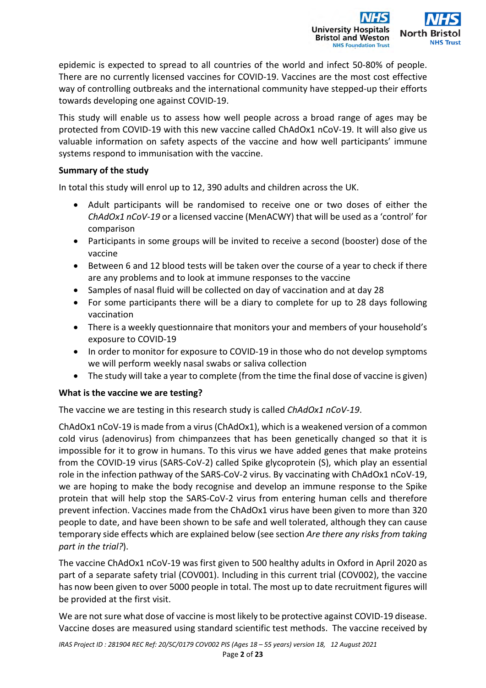

epidemic is expected to spread to all countries of the world and infect 50-80% of people. There are no currently licensed vaccines for COVID-19. Vaccines are the most cost effective way of controlling outbreaks and the international community have stepped-up their efforts towards developing one against COVID-19.

This study will enable us to assess how well people across a broad range of ages may be protected from COVID-19 with this new vaccine called ChAdOx1 nCoV-19. It will also give us valuable information on safety aspects of the vaccine and how well participants' immune systems respond to immunisation with the vaccine.

## **Summary of the study**

In total this study will enrol up to 12, 390 adults and children across the UK.

- Adult participants will be randomised to receive one or two doses of either the *ChAdOx1 nCoV-19* or a licensed vaccine (MenACWY) that will be used as a 'control' for comparison
- Participants in some groups will be invited to receive a second (booster) dose of the vaccine
- Between 6 and 12 blood tests will be taken over the course of a year to check if there are any problems and to look at immune responses to the vaccine
- Samples of nasal fluid will be collected on day of vaccination and at day 28
- For some participants there will be a diary to complete for up to 28 days following vaccination
- There is a weekly questionnaire that monitors your and members of your household's exposure to COVID-19
- In order to monitor for exposure to COVID-19 in those who do not develop symptoms we will perform weekly nasal swabs or saliva collection
- The study will take a year to complete (from the time the final dose of vaccine is given)

## **What is the vaccine we are testing?**

The vaccine we are testing in this research study is called *ChAdOx1 nCoV-19*.

ChAdOx1 nCoV-19 is made from a virus (ChAdOx1), which is a weakened version of a common cold virus (adenovirus) from chimpanzees that has been genetically changed so that it is impossible for it to grow in humans. To this virus we have added genes that make proteins from the COVID-19 virus (SARS-CoV-2) called Spike glycoprotein (S), which play an essential role in the infection pathway of the SARS-CoV-2 virus. By vaccinating with ChAdOx1 nCoV-19, we are hoping to make the body recognise and develop an immune response to the Spike protein that will help stop the SARS-CoV-2 virus from entering human cells and therefore prevent infection. Vaccines made from the ChAdOx1 virus have been given to more than 320 people to date, and have been shown to be safe and well tolerated, although they can cause temporary side effects which are explained below (see section *Are there any risks from taking part in the trial?*).

The vaccine ChAdOx1 nCoV-19 was first given to 500 healthy adults in Oxford in April 2020 as part of a separate safety trial (COV001). Including in this current trial (COV002), the vaccine has now been given to over 5000 people in total. The most up to date recruitment figures will be provided at the first visit.

We are not sure what dose of vaccine is most likely to be protective against COVID-19 disease. Vaccine doses are measured using standard scientific test methods. The vaccine received by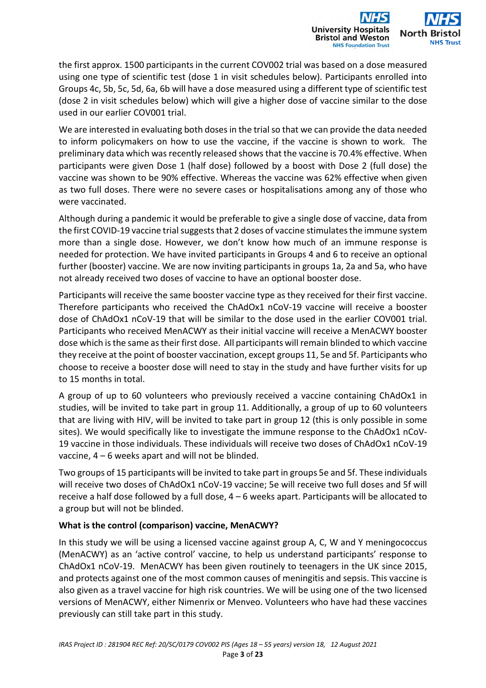

the first approx. 1500 participants in the current COV002 trial was based on a dose measured using one type of scientific test (dose 1 in visit schedules below). Participants enrolled into Groups 4c, 5b, 5c, 5d, 6a, 6b will have a dose measured using a different type of scientific test (dose 2 in visit schedules below) which will give a higher dose of vaccine similar to the dose used in our earlier COV001 trial.

We are interested in evaluating both doses in the trial so that we can provide the data needed to inform policymakers on how to use the vaccine, if the vaccine is shown to work. The preliminary data which was recently released shows that the vaccine is 70.4% effective. When participants were given Dose 1 (half dose) followed by a boost with Dose 2 (full dose) the vaccine was shown to be 90% effective. Whereas the vaccine was 62% effective when given as two full doses. There were no severe cases or hospitalisations among any of those who were vaccinated.

Although during a pandemic it would be preferable to give a single dose of vaccine, data from the first COVID-19 vaccine trial suggests that 2 doses of vaccine stimulates the immune system more than a single dose. However, we don't know how much of an immune response is needed for protection. We have invited participants in Groups 4 and 6 to receive an optional further (booster) vaccine. We are now inviting participants in groups 1a, 2a and 5a, who have not already received two doses of vaccine to have an optional booster dose.

Participants will receive the same booster vaccine type as they received for their first vaccine. Therefore participants who received the ChAdOx1 nCoV-19 vaccine will receive a booster dose of ChAdOx1 nCoV-19 that will be similar to the dose used in the earlier COV001 trial. Participants who received MenACWY as their initial vaccine will receive a MenACWY booster dose which is the same as their first dose. All participants will remain blinded to which vaccine they receive at the point of booster vaccination, except groups 11, 5e and 5f. Participants who choose to receive a booster dose will need to stay in the study and have further visits for up to 15 months in total.

A group of up to 60 volunteers who previously received a vaccine containing ChAdOx1 in studies, will be invited to take part in group 11. Additionally, a group of up to 60 volunteers that are living with HIV, will be invited to take part in group 12 (this is only possible in some sites). We would specifically like to investigate the immune response to the ChAdOx1 nCoV-19 vaccine in those individuals. These individuals will receive two doses of ChAdOx1 nCoV-19 vaccine, 4 – 6 weeks apart and will not be blinded.

Two groups of 15 participants will be invited to take part in groups 5e and 5f. These individuals will receive two doses of ChAdOx1 nCoV-19 vaccine; 5e will receive two full doses and 5f will receive a half dose followed by a full dose, 4 – 6 weeks apart. Participants will be allocated to a group but will not be blinded.

## **What is the control (comparison) vaccine, MenACWY?**

In this study we will be using a licensed vaccine against group A, C, W and Y meningococcus (MenACWY) as an 'active control' vaccine, to help us understand participants' response to ChAdOx1 nCoV-19. MenACWY has been given routinely to teenagers in the UK since 2015, and protects against one of the most common causes of meningitis and sepsis. This vaccine is also given as a travel vaccine for high risk countries. We will be using one of the two licensed versions of MenACWY, either Nimenrix or Menveo. Volunteers who have had these vaccines previously can still take part in this study.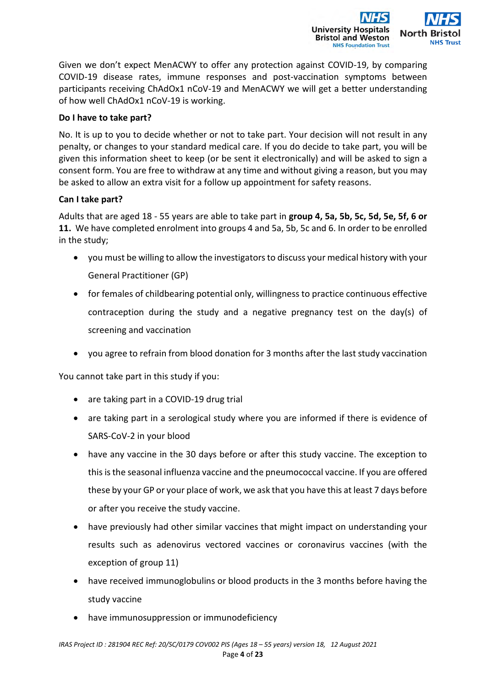

Given we don't expect MenACWY to offer any protection against COVID-19, by comparing COVID-19 disease rates, immune responses and post-vaccination symptoms between participants receiving ChAdOx1 nCoV-19 and MenACWY we will get a better understanding of how well ChAdOx1 nCoV-19 is working.

## **Do I have to take part?**

No. It is up to you to decide whether or not to take part. Your decision will not result in any penalty, or changes to your standard medical care. If you do decide to take part, you will be given this information sheet to keep (or be sent it electronically) and will be asked to sign a consent form. You are free to withdraw at any time and without giving a reason, but you may be asked to allow an extra visit for a follow up appointment for safety reasons.

## **Can I take part?**

Adults that are aged 18 - 55 years are able to take part in **group 4, 5a, 5b, 5c, 5d, 5e, 5f, 6 or 11.** We have completed enrolment into groups 4 and 5a, 5b, 5c and 6. In order to be enrolled in the study;

- you must be willing to allow the investigators to discuss your medical history with your General Practitioner (GP)
- for females of childbearing potential only, willingness to practice continuous effective contraception during the study and a negative pregnancy test on the day(s) of screening and vaccination
- you agree to refrain from blood donation for 3 months after the last study vaccination

You cannot take part in this study if you:

- are taking part in a COVID-19 drug trial
- are taking part in a serological study where you are informed if there is evidence of SARS-CoV-2 in your blood
- have any vaccine in the 30 days before or after this study vaccine. The exception to this is the seasonal influenza vaccine and the pneumococcal vaccine. If you are offered these by your GP or your place of work, we ask that you have this at least 7 days before or after you receive the study vaccine.
- have previously had other similar vaccines that might impact on understanding your results such as adenovirus vectored vaccines or coronavirus vaccines (with the exception of group 11)
- have received immunoglobulins or blood products in the 3 months before having the study vaccine
- have immunosuppression or immunodeficiency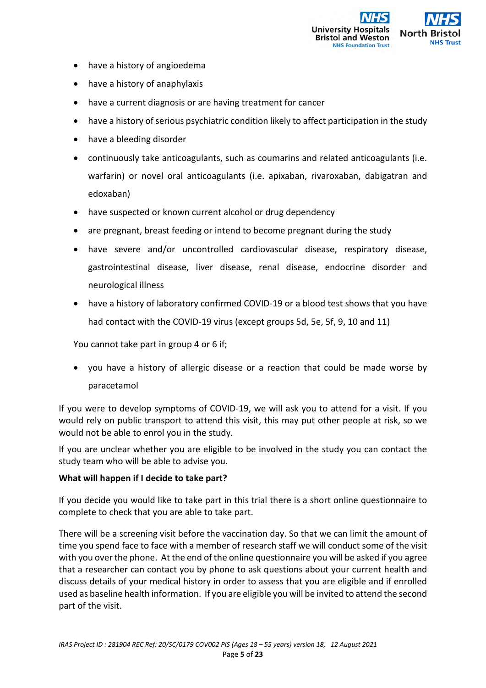

- have a history of angioedema
- have a history of anaphylaxis
- have a current diagnosis or are having treatment for cancer
- have a history of serious psychiatric condition likely to affect participation in the study
- have a bleeding disorder
- continuously take anticoagulants, such as coumarins and related anticoagulants (i.e. warfarin) or novel oral anticoagulants (i.e. apixaban, rivaroxaban, dabigatran and edoxaban)
- have suspected or known current alcohol or drug dependency
- are pregnant, breast feeding or intend to become pregnant during the study
- have severe and/or uncontrolled cardiovascular disease, respiratory disease, gastrointestinal disease, liver disease, renal disease, endocrine disorder and neurological illness
- have a history of laboratory confirmed COVID-19 or a blood test shows that you have had contact with the COVID-19 virus (except groups 5d, 5e, 5f, 9, 10 and 11)

You cannot take part in group 4 or 6 if;

 you have a history of allergic disease or a reaction that could be made worse by paracetamol

If you were to develop symptoms of COVID-19, we will ask you to attend for a visit. If you would rely on public transport to attend this visit, this may put other people at risk, so we would not be able to enrol you in the study.

If you are unclear whether you are eligible to be involved in the study you can contact the study team who will be able to advise you.

## **What will happen if I decide to take part?**

If you decide you would like to take part in this trial there is a short online questionnaire to complete to check that you are able to take part.

There will be a screening visit before the vaccination day. So that we can limit the amount of time you spend face to face with a member of research staff we will conduct some of the visit with you over the phone. At the end of the online questionnaire you will be asked if you agree that a researcher can contact you by phone to ask questions about your current health and discuss details of your medical history in order to assess that you are eligible and if enrolled used as baseline health information. If you are eligible you will be invited to attend the second part of the visit.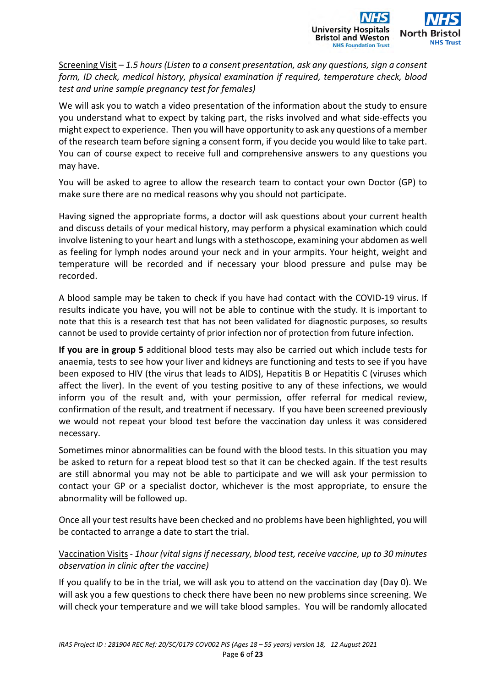

Screening Visit – *1.5 hours (Listen to a consent presentation, ask any questions, sign a consent form, ID check, medical history, physical examination if required, temperature check, blood test and urine sample pregnancy test for females)* 

We will ask you to watch a video presentation of the information about the study to ensure you understand what to expect by taking part, the risks involved and what side-effects you might expect to experience. Then you will have opportunity to ask any questions of a member of the research team before signing a consent form, if you decide you would like to take part. You can of course expect to receive full and comprehensive answers to any questions you may have.

You will be asked to agree to allow the research team to contact your own Doctor (GP) to make sure there are no medical reasons why you should not participate.

Having signed the appropriate forms, a doctor will ask questions about your current health and discuss details of your medical history, may perform a physical examination which could involve listening to your heart and lungs with a stethoscope, examining your abdomen as well as feeling for lymph nodes around your neck and in your armpits. Your height, weight and temperature will be recorded and if necessary your blood pressure and pulse may be recorded.

A blood sample may be taken to check if you have had contact with the COVID-19 virus. If results indicate you have, you will not be able to continue with the study. It is important to note that this is a research test that has not been validated for diagnostic purposes, so results cannot be used to provide certainty of prior infection nor of protection from future infection.

**If you are in group 5** additional blood tests may also be carried out which include tests for anaemia, tests to see how your liver and kidneys are functioning and tests to see if you have been exposed to HIV (the virus that leads to AIDS), Hepatitis B or Hepatitis C (viruses which affect the liver). In the event of you testing positive to any of these infections, we would inform you of the result and, with your permission, offer referral for medical review, confirmation of the result, and treatment if necessary. If you have been screened previously we would not repeat your blood test before the vaccination day unless it was considered necessary.

Sometimes minor abnormalities can be found with the blood tests. In this situation you may be asked to return for a repeat blood test so that it can be checked again. If the test results are still abnormal you may not be able to participate and we will ask your permission to contact your GP or a specialist doctor, whichever is the most appropriate, to ensure the abnormality will be followed up.

Once all your test results have been checked and no problems have been highlighted, you will be contacted to arrange a date to start the trial.

## Vaccination Visits - *1hour (vital signs if necessary, blood test, receive vaccine, up to 30 minutes observation in clinic after the vaccine)*

If you qualify to be in the trial, we will ask you to attend on the vaccination day (Day 0). We will ask you a few questions to check there have been no new problems since screening. We will check your temperature and we will take blood samples. You will be randomly allocated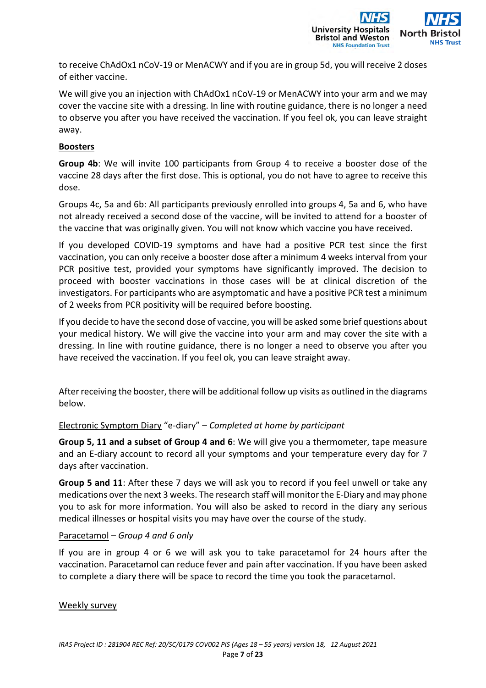

to receive ChAdOx1 nCoV-19 or MenACWY and if you are in group 5d, you will receive 2 doses of either vaccine.

We will give you an injection with ChAdOx1 nCoV-19 or MenACWY into your arm and we may cover the vaccine site with a dressing. In line with routine guidance, there is no longer a need to observe you after you have received the vaccination. If you feel ok, you can leave straight away.

## **Boosters**

**Group 4b**: We will invite 100 participants from Group 4 to receive a booster dose of the vaccine 28 days after the first dose. This is optional, you do not have to agree to receive this dose.

Groups 4c, 5a and 6b: All participants previously enrolled into groups 4, 5a and 6, who have not already received a second dose of the vaccine, will be invited to attend for a booster of the vaccine that was originally given. You will not know which vaccine you have received.

If you developed COVID-19 symptoms and have had a positive PCR test since the first vaccination, you can only receive a booster dose after a minimum 4 weeks interval from your PCR positive test, provided your symptoms have significantly improved. The decision to proceed with booster vaccinations in those cases will be at clinical discretion of the investigators. For participants who are asymptomatic and have a positive PCR test a minimum of 2 weeks from PCR positivity will be required before boosting.

If you decide to have the second dose of vaccine, you will be asked some brief questions about your medical history. We will give the vaccine into your arm and may cover the site with a dressing. In line with routine guidance, there is no longer a need to observe you after you have received the vaccination. If you feel ok, you can leave straight away.

After receiving the booster, there will be additional follow up visits as outlined in the diagrams below.

## Electronic Symptom Diary "e-diary" – *Completed at home by participant*

**Group 5, 11 and a subset of Group 4 and 6**: We will give you a thermometer, tape measure and an E-diary account to record all your symptoms and your temperature every day for 7 days after vaccination.

**Group 5 and 11**: After these 7 days we will ask you to record if you feel unwell or take any medications over the next 3 weeks. The research staff will monitor the E-Diary and may phone you to ask for more information. You will also be asked to record in the diary any serious medical illnesses or hospital visits you may have over the course of the study.

## Paracetamol – *Group 4 and 6 only*

If you are in group 4 or 6 we will ask you to take paracetamol for 24 hours after the vaccination. Paracetamol can reduce fever and pain after vaccination. If you have been asked to complete a diary there will be space to record the time you took the paracetamol.

## Weekly survey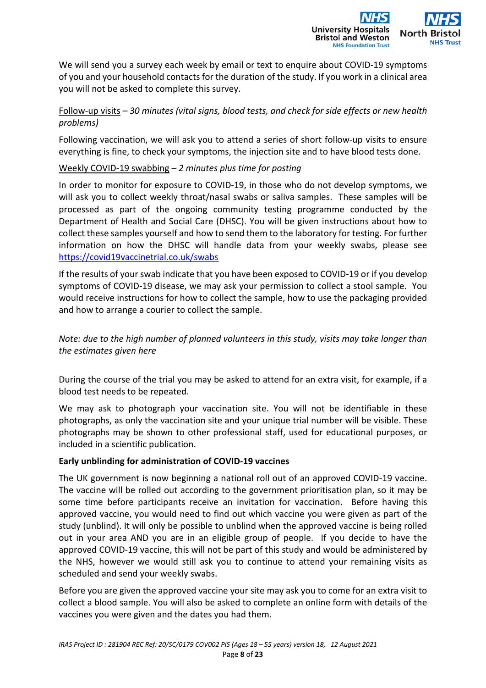

We will send you a survey each week by email or text to enquire about COVID-19 symptoms of you and your household contacts for the duration of the study. If you work in a clinical area you will not be asked to complete this survey.

## Follow-up visits *– 30 minutes (vital signs, blood tests, and check for side effects or new health problems)*

Following vaccination, we will ask you to attend a series of short follow-up visits to ensure everything is fine, to check your symptoms, the injection site and to have blood tests done.

## Weekly COVID-19 swabbing – *2 minutes plus time for posting*

In order to monitor for exposure to COVID-19, in those who do not develop symptoms, we will ask you to collect weekly throat/nasal swabs or saliva samples. These samples will be processed as part of the ongoing community testing programme conducted by the Department of Health and Social Care (DHSC). You will be given instructions about how to collect these samples yourself and how to send them to the laboratory for testing. For further information on how the DHSC will handle data from your weekly swabs, please see https://covid19vaccinetrial.co.uk/swabs

If the results of your swab indicate that you have been exposed to COVID-19 or if you develop symptoms of COVID-19 disease, we may ask your permission to collect a stool sample. You would receive instructions for how to collect the sample, how to use the packaging provided and how to arrange a courier to collect the sample.

*Note: due to the high number of planned volunteers in this study, visits may take longer than the estimates given here* 

During the course of the trial you may be asked to attend for an extra visit, for example, if a blood test needs to be repeated.

We may ask to photograph your vaccination site. You will not be identifiable in these photographs, as only the vaccination site and your unique trial number will be visible. These photographs may be shown to other professional staff, used for educational purposes, or included in a scientific publication.

## **Early unblinding for administration of COVID-19 vaccines**

The UK government is now beginning a national roll out of an approved COVID-19 vaccine. The vaccine will be rolled out according to the government prioritisation plan, so it may be some time before participants receive an invitation for vaccination. Before having this approved vaccine, you would need to find out which vaccine you were given as part of the study (unblind). It will only be possible to unblind when the approved vaccine is being rolled out in your area AND you are in an eligible group of people. If you decide to have the approved COVID-19 vaccine, this will not be part of this study and would be administered by the NHS, however we would still ask you to continue to attend your remaining visits as scheduled and send your weekly swabs.

Before you are given the approved vaccine your site may ask you to come for an extra visit to collect a blood sample. You will also be asked to complete an online form with details of the vaccines you were given and the dates you had them.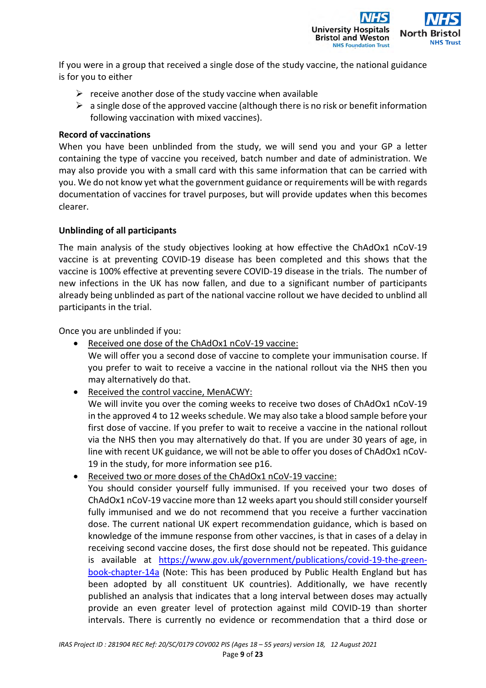

If you were in a group that received a single dose of the study vaccine, the national guidance is for you to either

- $\triangleright$  receive another dose of the study vaccine when available
- $\triangleright$  a single dose of the approved vaccine (although there is no risk or benefit information following vaccination with mixed vaccines).

#### **Record of vaccinations**

When you have been unblinded from the study, we will send you and your GP a letter containing the type of vaccine you received, batch number and date of administration. We may also provide you with a small card with this same information that can be carried with you. We do not know yet what the government guidance or requirements will be with regards documentation of vaccines for travel purposes, but will provide updates when this becomes clearer.

## **Unblinding of all participants**

The main analysis of the study objectives looking at how effective the ChAdOx1 nCoV-19 vaccine is at preventing COVID-19 disease has been completed and this shows that the vaccine is 100% effective at preventing severe COVID-19 disease in the trials. The number of new infections in the UK has now fallen, and due to a significant number of participants already being unblinded as part of the national vaccine rollout we have decided to unblind all participants in the trial.

Once you are unblinded if you:

- Received one dose of the ChAdOx1 nCoV-19 vaccine: We will offer you a second dose of vaccine to complete your immunisation course. If you prefer to wait to receive a vaccine in the national rollout via the NHS then you may alternatively do that.
- Received the control vaccine, MenACWY:

We will invite you over the coming weeks to receive two doses of ChAdOx1 nCoV-19 in the approved 4 to 12 weeks schedule. We may also take a blood sample before your first dose of vaccine. If you prefer to wait to receive a vaccine in the national rollout via the NHS then you may alternatively do that. If you are under 30 years of age, in line with recent UK guidance, we will not be able to offer you doses of ChAdOx1 nCoV-19 in the study, for more information see p16.

Received two or more doses of the ChAdOx1 nCoV-19 vaccine:

You should consider yourself fully immunised. If you received your two doses of ChAdOx1 nCoV-19 vaccine more than 12 weeks apart you should still consider yourself fully immunised and we do not recommend that you receive a further vaccination dose. The current national UK expert recommendation guidance, which is based on knowledge of the immune response from other vaccines, is that in cases of a delay in receiving second vaccine doses, the first dose should not be repeated. This guidance is available at https://www.gov.uk/government/publications/covid-19-the-greenbook-chapter-14a (Note: This has been produced by Public Health England but has been adopted by all constituent UK countries). Additionally, we have recently published an analysis that indicates that a long interval between doses may actually provide an even greater level of protection against mild COVID-19 than shorter intervals. There is currently no evidence or recommendation that a third dose or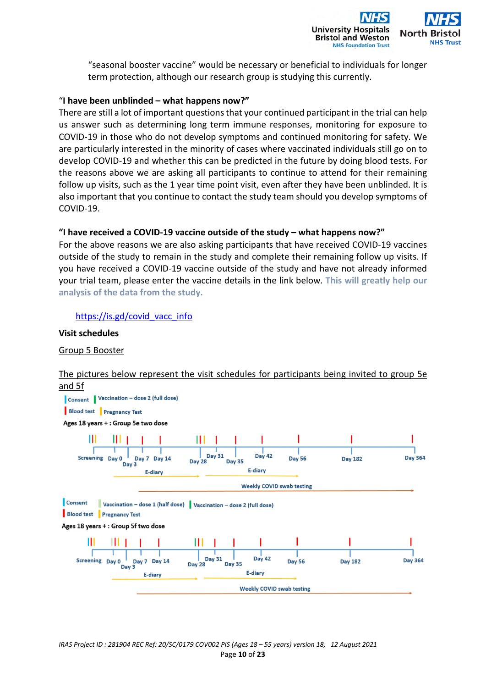

"seasonal booster vaccine" would be necessary or beneficial to individuals for longer term protection, although our research group is studying this currently.

#### "**I have been unblinded – what happens now?"**

There are still a lot of important questions that your continued participant in the trial can help us answer such as determining long term immune responses, monitoring for exposure to COVID-19 in those who do not develop symptoms and continued monitoring for safety. We are particularly interested in the minority of cases where vaccinated individuals still go on to develop COVID-19 and whether this can be predicted in the future by doing blood tests. For the reasons above we are asking all participants to continue to attend for their remaining follow up visits, such as the 1 year time point visit, even after they have been unblinded. It is also important that you continue to contact the study team should you develop symptoms of COVID-19.

## **"I have received a COVID-19 vaccine outside of the study – what happens now?"**

For the above reasons we are also asking participants that have received COVID-19 vaccines outside of the study to remain in the study and complete their remaining follow up visits. If you have received a COVID-19 vaccine outside of the study and have not already informed your trial team, please enter the vaccine details in the link below. **This will greatly help our analysis of the data from the study.** 

## https://is.gd/covid\_vacc\_info

#### **Visit schedules**

Group 5 Booster

# The pictures below represent the visit schedules for participants being invited to group 5e and 5f Consent | Vaccination - dose 2 (full dose)

Blood test Pregnancy Test Ages 18 years + : Group 5e two dose ш **Day 31 Day 42** Screening Day 0 Day 7 Day 14 **Day 56 Dav 182 Day 364 Dav** 28 **Dav 35** Day 3 E-diary **E-diary Weekly COVID swab testing** Consent Vaccination - dose 1 (half dose) | Vaccination - dose 2 (full dose) **Blood test Pregnancy Test** Ages 18 years + : Group 5f two dose Ш **Day 31 Day 42** Screening Day 0 **Day 364 Day 14 Day 56 Day 182** Day 7 **Day 35 Day 28**  $D$ av $\frac{1}{2}$ E-diary F-diary **Weekly COVID swab testing**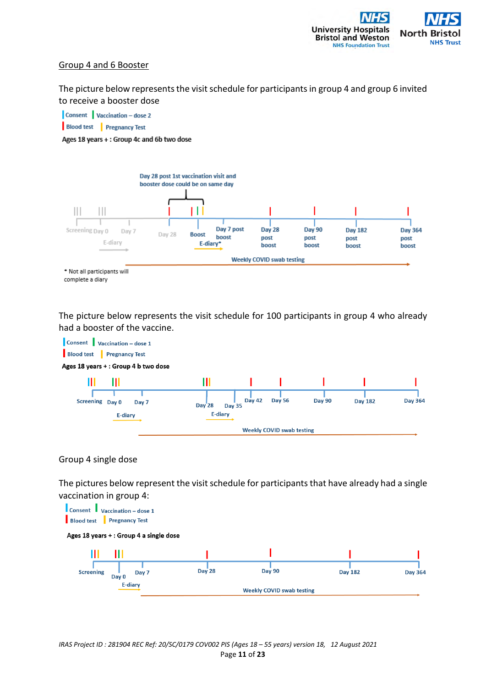

## Group 4 and 6 Booster

The picture below represents the visit schedule for participants in group 4 and group 6 invited to receive a booster dose





The picture below represents the visit schedule for 100 participants in group 4 who already had a booster of the vaccine.



#### Group 4 single dose

The pictures below represent the visit schedule for participants that have already had a single vaccination in group 4:

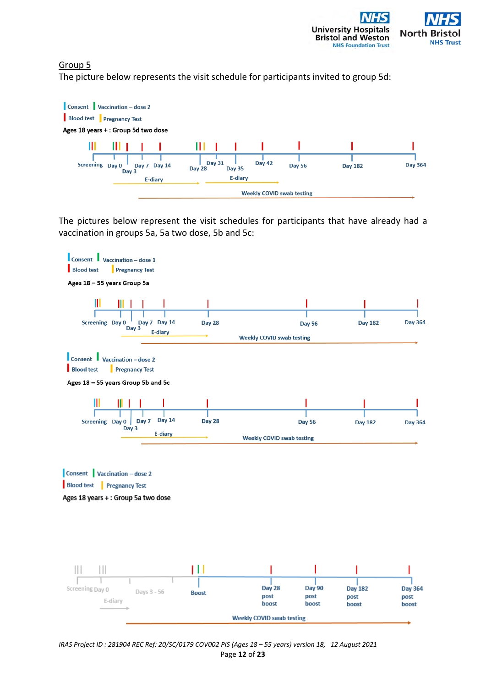

## Group 5

The picture below represents the visit schedule for participants invited to group 5d:



The pictures below represent the visit schedules for participants that have already had a vaccination in groups 5a, 5a two dose, 5b and 5c:



*IRAS Project ID : 281904 REC Ref: 20/SC/0179 COV002 PIS (Ages 18 – 55 years) version 18, 12 August 2021*  Page **12** of **23**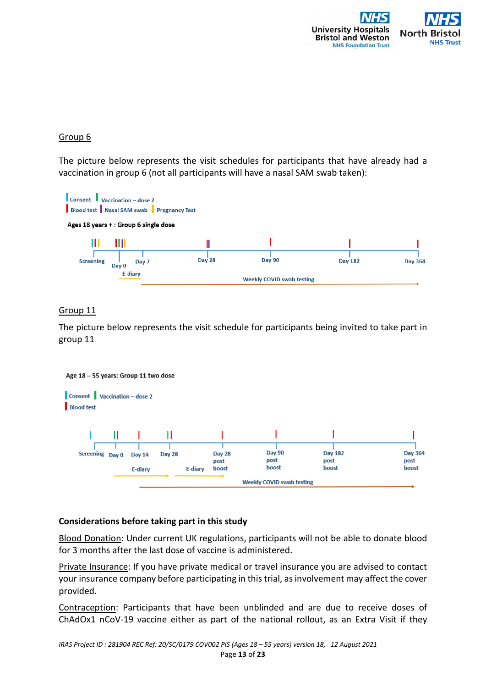

## Group 6

The picture below represents the visit schedules for participants that have already had a vaccination in group 6 (not all participants will have a nasal SAM swab taken):



## Group 11

The picture below represents the visit schedule for participants being invited to take part in group 11



## **Considerations before taking part in this study**

Blood Donation: Under current UK regulations, participants will not be able to donate blood for 3 months after the last dose of vaccine is administered.

Private Insurance: If you have private medical or travel insurance you are advised to contact your insurance company before participating in this trial, as involvement may affect the cover provided.

Contraception: Participants that have been unblinded and are due to receive doses of ChAdOx1 nCoV-19 vaccine either as part of the national rollout, as an Extra Visit if they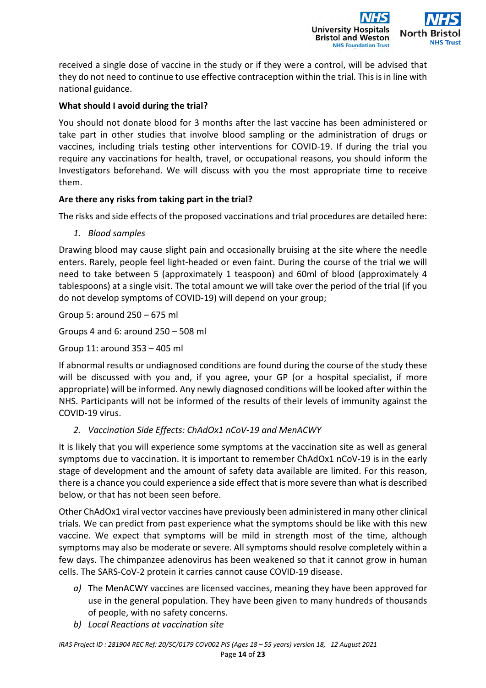

received a single dose of vaccine in the study or if they were a control, will be advised that they do not need to continue to use effective contraception within the trial. This is in line with national guidance.

# **What should I avoid during the trial?**

You should not donate blood for 3 months after the last vaccine has been administered or take part in other studies that involve blood sampling or the administration of drugs or vaccines, including trials testing other interventions for COVID-19. If during the trial you require any vaccinations for health, travel, or occupational reasons, you should inform the Investigators beforehand. We will discuss with you the most appropriate time to receive them.

## **Are there any risks from taking part in the trial?**

The risks and side effects of the proposed vaccinations and trial procedures are detailed here:

*1. Blood samples* 

Drawing blood may cause slight pain and occasionally bruising at the site where the needle enters. Rarely, people feel light-headed or even faint. During the course of the trial we will need to take between 5 (approximately 1 teaspoon) and 60ml of blood (approximately 4 tablespoons) at a single visit. The total amount we will take over the period of the trial (if you do not develop symptoms of COVID-19) will depend on your group;

Group 5: around 250 – 675 ml

Groups 4 and 6: around 250 – 508 ml

Group 11: around 353 – 405 ml

If abnormal results or undiagnosed conditions are found during the course of the study these will be discussed with you and, if you agree, your GP (or a hospital specialist, if more appropriate) will be informed. Any newly diagnosed conditions will be looked after within the NHS. Participants will not be informed of the results of their levels of immunity against the COVID-19 virus.

*2. Vaccination Side Effects: ChAdOx1 nCoV-19 and MenACWY* 

It is likely that you will experience some symptoms at the vaccination site as well as general symptoms due to vaccination. It is important to remember ChAdOx1 nCoV-19 is in the early stage of development and the amount of safety data available are limited. For this reason, there is a chance you could experience a side effect that is more severe than what is described below, or that has not been seen before.

Other ChAdOx1 viral vector vaccines have previously been administered in many other clinical trials. We can predict from past experience what the symptoms should be like with this new vaccine. We expect that symptoms will be mild in strength most of the time, although symptoms may also be moderate or severe. All symptoms should resolve completely within a few days. The chimpanzee adenovirus has been weakened so that it cannot grow in human cells. The SARS-CoV-2 protein it carries cannot cause COVID-19 disease.

- *a)* The MenACWY vaccines are licensed vaccines, meaning they have been approved for use in the general population. They have been given to many hundreds of thousands of people, with no safety concerns.
- *b) Local Reactions at vaccination site*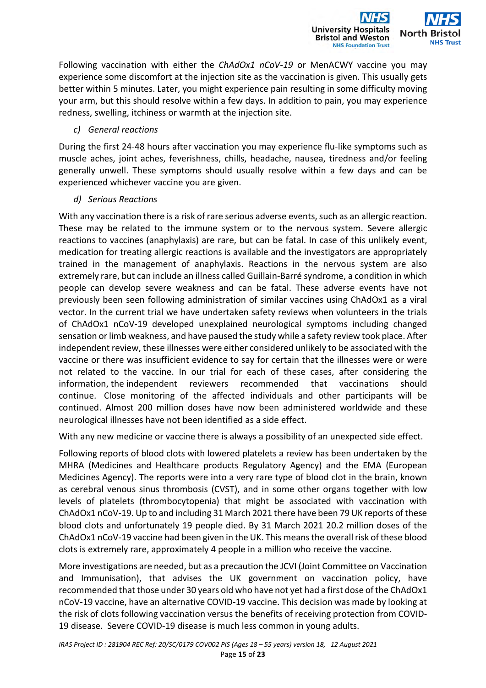Following vaccination with either the *ChAdOx1 nCoV-19* or MenACWY vaccine you may experience some discomfort at the injection site as the vaccination is given. This usually gets better within 5 minutes. Later, you might experience pain resulting in some difficulty moving your arm, but this should resolve within a few days. In addition to pain, you may experience redness, swelling, itchiness or warmth at the injection site.

**University Hosp** 

**Bristol and Weston NHS Foundation Trust** 

North

## *c) General reactions*

During the first 24-48 hours after vaccination you may experience flu-like symptoms such as muscle aches, joint aches, feverishness, chills, headache, nausea, tiredness and/or feeling generally unwell. These symptoms should usually resolve within a few days and can be experienced whichever vaccine you are given.

## *d) Serious Reactions*

With any vaccination there is a risk of rare serious adverse events, such as an allergic reaction. These may be related to the immune system or to the nervous system. Severe allergic reactions to vaccines (anaphylaxis) are rare, but can be fatal. In case of this unlikely event, medication for treating allergic reactions is available and the investigators are appropriately trained in the management of anaphylaxis. Reactions in the nervous system are also extremely rare, but can include an illness called Guillain-Barré syndrome, a condition in which people can develop severe weakness and can be fatal. These adverse events have not previously been seen following administration of similar vaccines using ChAdOx1 as a viral vector. In the current trial we have undertaken safety reviews when volunteers in the trials of ChAdOx1 nCoV-19 developed unexplained neurological symptoms including changed sensation or limb weakness, and have paused the study while a safety review took place. After independent review, these illnesses were either considered unlikely to be associated with the vaccine or there was insufficient evidence to say for certain that the illnesses were or were not related to the vaccine. In our trial for each of these cases, after considering the information, the independent reviewers recommended that vaccinations should continue. Close monitoring of the affected individuals and other participants will be continued. Almost 200 million doses have now been administered worldwide and these neurological illnesses have not been identified as a side effect.

With any new medicine or vaccine there is always a possibility of an unexpected side effect.

Following reports of blood clots with lowered platelets a review has been undertaken by the MHRA (Medicines and Healthcare products Regulatory Agency) and the EMA (European Medicines Agency). The reports were into a very rare type of blood clot in the brain, known as cerebral venous sinus thrombosis (CVST), and in some other organs together with low levels of platelets (thrombocytopenia) that might be associated with vaccination with ChAdOx1 nCoV-19. Up to and including 31 March 2021 there have been 79 UK reports of these blood clots and unfortunately 19 people died. By 31 March 2021 20.2 million doses of the ChAdOx1 nCoV-19 vaccine had been given in the UK. This means the overall risk of these blood clots is extremely rare, approximately 4 people in a million who receive the vaccine.

More investigations are needed, but as a precaution the JCVI (Joint Committee on Vaccination and Immunisation), that advises the UK government on vaccination policy, have recommended that those under 30 years old who have not yet had a first dose of the ChAdOx1 nCoV-19 vaccine, have an alternative COVID-19 vaccine. This decision was made by looking at the risk of clots following vaccination versus the benefits of receiving protection from COVID-19 disease. Severe COVID-19 disease is much less common in young adults.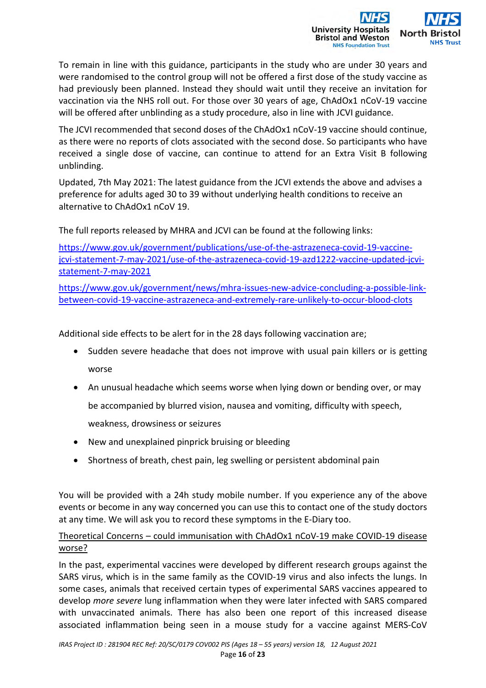

To remain in line with this guidance, participants in the study who are under 30 years and were randomised to the control group will not be offered a first dose of the study vaccine as had previously been planned. Instead they should wait until they receive an invitation for vaccination via the NHS roll out. For those over 30 years of age, ChAdOx1 nCoV-19 vaccine will be offered after unblinding as a study procedure, also in line with JCVI guidance.

The JCVI recommended that second doses of the ChAdOx1 nCoV-19 vaccine should continue, as there were no reports of clots associated with the second dose. So participants who have received a single dose of vaccine, can continue to attend for an Extra Visit B following unblinding.

Updated, 7th May 2021: The latest guidance from the JCVI extends the above and advises a preference for adults aged 30 to 39 without underlying health conditions to receive an alternative to ChAdOx1 nCoV 19.

The full reports released by MHRA and JCVI can be found at the following links:

https://www.gov.uk/government/publications/use-of-the-astrazeneca-covid-19-vaccinejcvi-statement-7-may-2021/use-of-the-astrazeneca-covid-19-azd1222-vaccine-updated-jcvistatement-7-may-2021

https://www.gov.uk/government/news/mhra-issues-new-advice-concluding-a-possible-linkbetween-covid-19-vaccine-astrazeneca-and-extremely-rare-unlikely-to-occur-blood-clots

Additional side effects to be alert for in the 28 days following vaccination are;

- Sudden severe headache that does not improve with usual pain killers or is getting worse
- An unusual headache which seems worse when lying down or bending over, or may be accompanied by blurred vision, nausea and vomiting, difficulty with speech,

weakness, drowsiness or seizures

- New and unexplained pinprick bruising or bleeding
- Shortness of breath, chest pain, leg swelling or persistent abdominal pain

You will be provided with a 24h study mobile number. If you experience any of the above events or become in any way concerned you can use this to contact one of the study doctors at any time. We will ask you to record these symptoms in the E-Diary too.

## Theoretical Concerns – could immunisation with ChAdOx1 nCoV-19 make COVID-19 disease worse?

In the past, experimental vaccines were developed by different research groups against the SARS virus, which is in the same family as the COVID-19 virus and also infects the lungs. In some cases, animals that received certain types of experimental SARS vaccines appeared to develop *more severe* lung inflammation when they were later infected with SARS compared with unvaccinated animals. There has also been one report of this increased disease associated inflammation being seen in a mouse study for a vaccine against MERS-CoV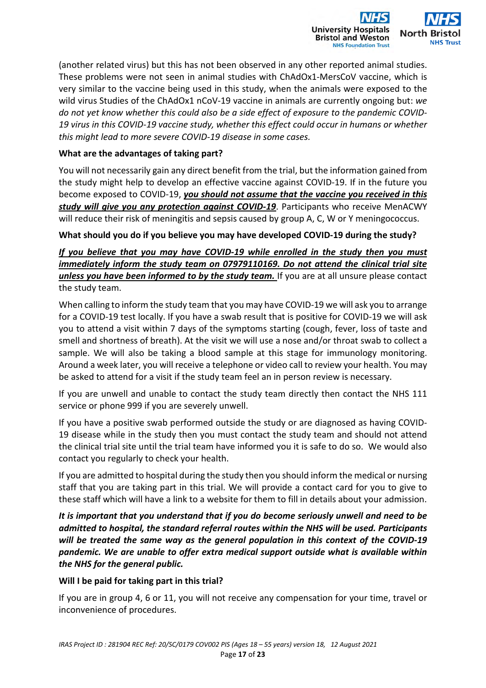

(another related virus) but this has not been observed in any other reported animal studies. These problems were not seen in animal studies with ChAdOx1-MersCoV vaccine, which is very similar to the vaccine being used in this study, when the animals were exposed to the wild virus Studies of the ChAdOx1 nCoV-19 vaccine in animals are currently ongoing but: *we do not yet know whether this could also be a side effect of exposure to the pandemic COVID-19 virus in this COVID-19 vaccine study, whether this effect could occur in humans or whether this might lead to more severe COVID-19 disease in some cases.*

## **What are the advantages of taking part?**

You will not necessarily gain any direct benefit from the trial, but the information gained from the study might help to develop an effective vaccine against COVID-19. If in the future you become exposed to COVID-19, *you should not assume that the vaccine you received in this study will give you any protection against COVID-19*. Participants who receive MenACWY will reduce their risk of meningitis and sepsis caused by group A, C, W or Y meningococcus.

## **What should you do if you believe you may have developed COVID-19 during the study?**

*If you believe that you may have COVID-19 while enrolled in the study then you must immediately inform the study team on 07979110169. Do not attend the clinical trial site unless you have been informed to by the study team.* If you are at all unsure please contact the study team.

When calling to inform the study team that you may have COVID-19 we will ask you to arrange for a COVID-19 test locally. If you have a swab result that is positive for COVID-19 we will ask you to attend a visit within 7 days of the symptoms starting (cough, fever, loss of taste and smell and shortness of breath). At the visit we will use a nose and/or throat swab to collect a sample. We will also be taking a blood sample at this stage for immunology monitoring. Around a week later, you will receive a telephone or video call to review your health. You may be asked to attend for a visit if the study team feel an in person review is necessary.

If you are unwell and unable to contact the study team directly then contact the NHS 111 service or phone 999 if you are severely unwell.

If you have a positive swab performed outside the study or are diagnosed as having COVID-19 disease while in the study then you must contact the study team and should not attend the clinical trial site until the trial team have informed you it is safe to do so. We would also contact you regularly to check your health.

If you are admitted to hospital during the study then you should inform the medical or nursing staff that you are taking part in this trial. We will provide a contact card for you to give to these staff which will have a link to a website for them to fill in details about your admission.

*It is important that you understand that if you do become seriously unwell and need to be admitted to hospital, the standard referral routes within the NHS will be used. Participants will be treated the same way as the general population in this context of the COVID-19 pandemic. We are unable to offer extra medical support outside what is available within the NHS for the general public.* 

## **Will I be paid for taking part in this trial?**

If you are in group 4, 6 or 11, you will not receive any compensation for your time, travel or inconvenience of procedures.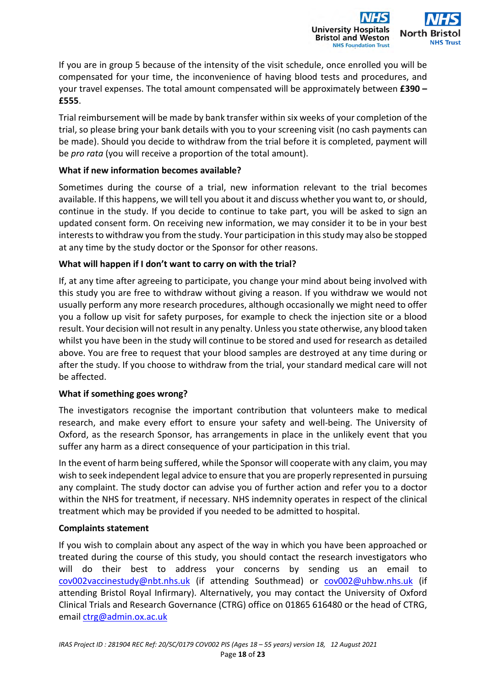

If you are in group 5 because of the intensity of the visit schedule, once enrolled you will be compensated for your time, the inconvenience of having blood tests and procedures, and your travel expenses. The total amount compensated will be approximately between **£390 – £555**.

Trial reimbursement will be made by bank transfer within six weeks of your completion of the trial, so please bring your bank details with you to your screening visit (no cash payments can be made). Should you decide to withdraw from the trial before it is completed, payment will be *pro rata* (you will receive a proportion of the total amount).

## **What if new information becomes available?**

Sometimes during the course of a trial, new information relevant to the trial becomes available. If this happens, we will tell you about it and discuss whether you want to, or should, continue in the study. If you decide to continue to take part, you will be asked to sign an updated consent form. On receiving new information, we may consider it to be in your best interests to withdraw you from the study. Your participation in this study may also be stopped at any time by the study doctor or the Sponsor for other reasons.

## **What will happen if I don't want to carry on with the trial?**

If, at any time after agreeing to participate, you change your mind about being involved with this study you are free to withdraw without giving a reason. If you withdraw we would not usually perform any more research procedures, although occasionally we might need to offer you a follow up visit for safety purposes, for example to check the injection site or a blood result. Your decision will not result in any penalty. Unless you state otherwise, any blood taken whilst you have been in the study will continue to be stored and used for research as detailed above. You are free to request that your blood samples are destroyed at any time during or after the study. If you choose to withdraw from the trial, your standard medical care will not be affected.

## **What if something goes wrong?**

The investigators recognise the important contribution that volunteers make to medical research, and make every effort to ensure your safety and well-being. The University of Oxford, as the research Sponsor, has arrangements in place in the unlikely event that you suffer any harm as a direct consequence of your participation in this trial.

In the event of harm being suffered, while the Sponsor will cooperate with any claim, you may wish to seek independent legal advice to ensure that you are properly represented in pursuing any complaint. The study doctor can advise you of further action and refer you to a doctor within the NHS for treatment, if necessary. NHS indemnity operates in respect of the clinical treatment which may be provided if you needed to be admitted to hospital.

## **Complaints statement**

If you wish to complain about any aspect of the way in which you have been approached or treated during the course of this study, you should contact the research investigators who will do their best to address your concerns by sending us an email to cov002vaccinestudy@nbt.nhs.uk (if attending Southmead) or cov002@uhbw.nhs.uk (if attending Bristol Royal Infirmary). Alternatively, you may contact the University of Oxford Clinical Trials and Research Governance (CTRG) office on 01865 616480 or the head of CTRG, email ctrg@admin.ox.ac.uk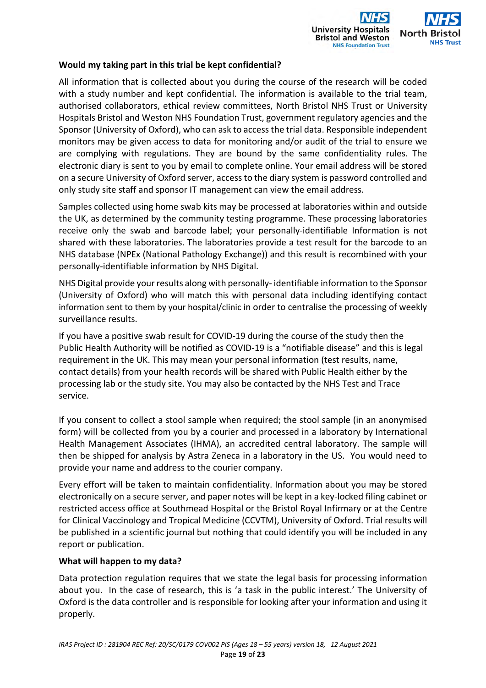

## **Would my taking part in this trial be kept confidential?**

All information that is collected about you during the course of the research will be coded with a study number and kept confidential. The information is available to the trial team, authorised collaborators, ethical review committees, North Bristol NHS Trust or University Hospitals Bristol and Weston NHS Foundation Trust, government regulatory agencies and the Sponsor (University of Oxford), who can ask to access the trial data. Responsible independent monitors may be given access to data for monitoring and/or audit of the trial to ensure we are complying with regulations. They are bound by the same confidentiality rules. The electronic diary is sent to you by email to complete online. Your email address will be stored on a secure University of Oxford server, access to the diary system is password controlled and only study site staff and sponsor IT management can view the email address.

Samples collected using home swab kits may be processed at laboratories within and outside the UK, as determined by the community testing programme. These processing laboratories receive only the swab and barcode label; your personally-identifiable Information is not shared with these laboratories. The laboratories provide a test result for the barcode to an NHS database (NPEx (National Pathology Exchange)) and this result is recombined with your personally-identifiable information by NHS Digital.

NHS Digital provide your results along with personally- identifiable information to the Sponsor (University of Oxford) who will match this with personal data including identifying contact information sent to them by your hospital/clinic in order to centralise the processing of weekly surveillance results.

If you have a positive swab result for COVID-19 during the course of the study then the Public Health Authority will be notified as COVID-19 is a "notifiable disease" and this is legal requirement in the UK. This may mean your personal information (test results, name, contact details) from your health records will be shared with Public Health either by the processing lab or the study site. You may also be contacted by the NHS Test and Trace service.

If you consent to collect a stool sample when required; the stool sample (in an anonymised form) will be collected from you by a courier and processed in a laboratory by International Health Management Associates (IHMA), an accredited central laboratory. The sample will then be shipped for analysis by Astra Zeneca in a laboratory in the US. You would need to provide your name and address to the courier company.

Every effort will be taken to maintain confidentiality. Information about you may be stored electronically on a secure server, and paper notes will be kept in a key-locked filing cabinet or restricted access office at Southmead Hospital or the Bristol Royal Infirmary or at the Centre for Clinical Vaccinology and Tropical Medicine (CCVTM), University of Oxford. Trial results will be published in a scientific journal but nothing that could identify you will be included in any report or publication.

#### **What will happen to my data?**

Data protection regulation requires that we state the legal basis for processing information about you. In the case of research, this is 'a task in the public interest.' The University of Oxford is the data controller and is responsible for looking after your information and using it properly.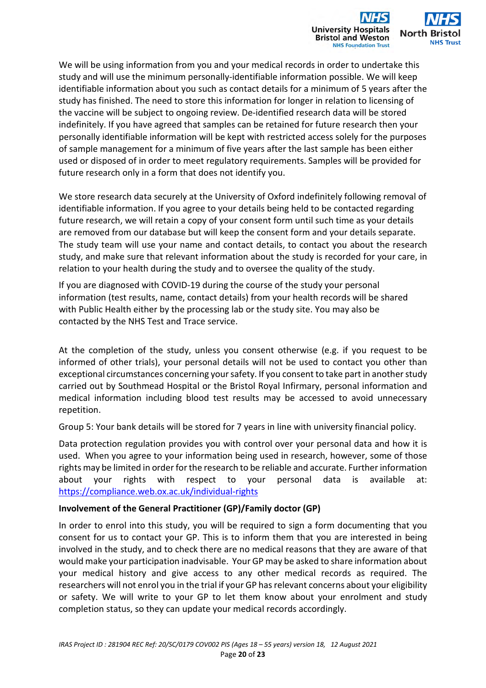

We will be using information from you and your medical records in order to undertake this study and will use the minimum personally-identifiable information possible. We will keep identifiable information about you such as contact details for a minimum of 5 years after the study has finished. The need to store this information for longer in relation to licensing of the vaccine will be subject to ongoing review. De-identified research data will be stored indefinitely. If you have agreed that samples can be retained for future research then your personally identifiable information will be kept with restricted access solely for the purposes of sample management for a minimum of five years after the last sample has been either used or disposed of in order to meet regulatory requirements. Samples will be provided for future research only in a form that does not identify you.

We store research data securely at the University of Oxford indefinitely following removal of identifiable information. If you agree to your details being held to be contacted regarding future research, we will retain a copy of your consent form until such time as your details are removed from our database but will keep the consent form and your details separate. The study team will use your name and contact details, to contact you about the research study, and make sure that relevant information about the study is recorded for your care, in relation to your health during the study and to oversee the quality of the study.

If you are diagnosed with COVID-19 during the course of the study your personal information (test results, name, contact details) from your health records will be shared with Public Health either by the processing lab or the study site. You may also be contacted by the NHS Test and Trace service.

At the completion of the study, unless you consent otherwise (e.g. if you request to be informed of other trials), your personal details will not be used to contact you other than exceptional circumstances concerning your safety. If you consent to take part in another study carried out by Southmead Hospital or the Bristol Royal Infirmary, personal information and medical information including blood test results may be accessed to avoid unnecessary repetition.

Group 5: Your bank details will be stored for 7 years in line with university financial policy.

Data protection regulation provides you with control over your personal data and how it is used. When you agree to your information being used in research, however, some of those rights may be limited in order for the research to be reliable and accurate. Further information about your rights with respect to your personal data is available at: https://compliance.web.ox.ac.uk/individual-rights

## **Involvement of the General Practitioner (GP)/Family doctor (GP)**

In order to enrol into this study, you will be required to sign a form documenting that you consent for us to contact your GP. This is to inform them that you are interested in being involved in the study, and to check there are no medical reasons that they are aware of that would make your participation inadvisable. Your GP may be asked to share information about your medical history and give access to any other medical records as required. The researchers will not enrol you in the trial if your GP has relevant concerns about your eligibility or safety. We will write to your GP to let them know about your enrolment and study completion status, so they can update your medical records accordingly.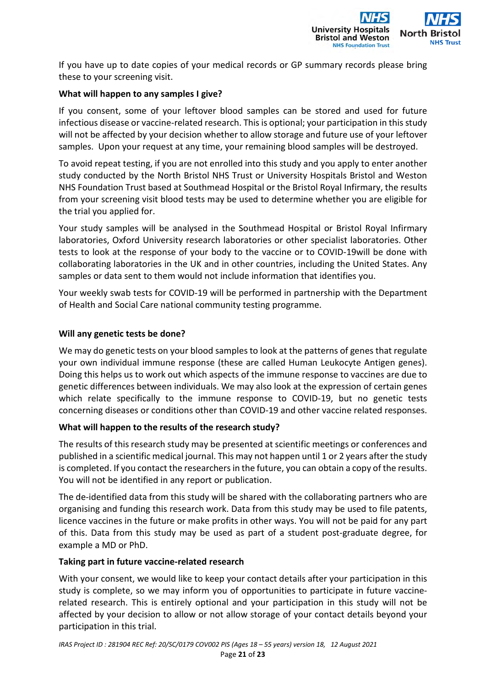

If you have up to date copies of your medical records or GP summary records please bring these to your screening visit.

## **What will happen to any samples I give?**

If you consent, some of your leftover blood samples can be stored and used for future infectious disease or vaccine-related research. This is optional; your participation in this study will not be affected by your decision whether to allow storage and future use of your leftover samples. Upon your request at any time, your remaining blood samples will be destroyed.

To avoid repeat testing, if you are not enrolled into this study and you apply to enter another study conducted by the North Bristol NHS Trust or University Hospitals Bristol and Weston NHS Foundation Trust based at Southmead Hospital or the Bristol Royal Infirmary, the results from your screening visit blood tests may be used to determine whether you are eligible for the trial you applied for.

Your study samples will be analysed in the Southmead Hospital or Bristol Royal Infirmary laboratories, Oxford University research laboratories or other specialist laboratories. Other tests to look at the response of your body to the vaccine or to COVID-19will be done with collaborating laboratories in the UK and in other countries, including the United States. Any samples or data sent to them would not include information that identifies you.

Your weekly swab tests for COVID-19 will be performed in partnership with the Department of Health and Social Care national community testing programme.

## **Will any genetic tests be done?**

We may do genetic tests on your blood samples to look at the patterns of genes that regulate your own individual immune response (these are called Human Leukocyte Antigen genes). Doing this helps us to work out which aspects of the immune response to vaccines are due to genetic differences between individuals. We may also look at the expression of certain genes which relate specifically to the immune response to COVID-19, but no genetic tests concerning diseases or conditions other than COVID-19 and other vaccine related responses.

## **What will happen to the results of the research study?**

The results of this research study may be presented at scientific meetings or conferences and published in a scientific medical journal. This may not happen until 1 or 2 years after the study is completed. If you contact the researchers in the future, you can obtain a copy of the results. You will not be identified in any report or publication.

The de-identified data from this study will be shared with the collaborating partners who are organising and funding this research work. Data from this study may be used to file patents, licence vaccines in the future or make profits in other ways. You will not be paid for any part of this. Data from this study may be used as part of a student post-graduate degree, for example a MD or PhD.

## **Taking part in future vaccine-related research**

With your consent, we would like to keep your contact details after your participation in this study is complete, so we may inform you of opportunities to participate in future vaccinerelated research. This is entirely optional and your participation in this study will not be affected by your decision to allow or not allow storage of your contact details beyond your participation in this trial.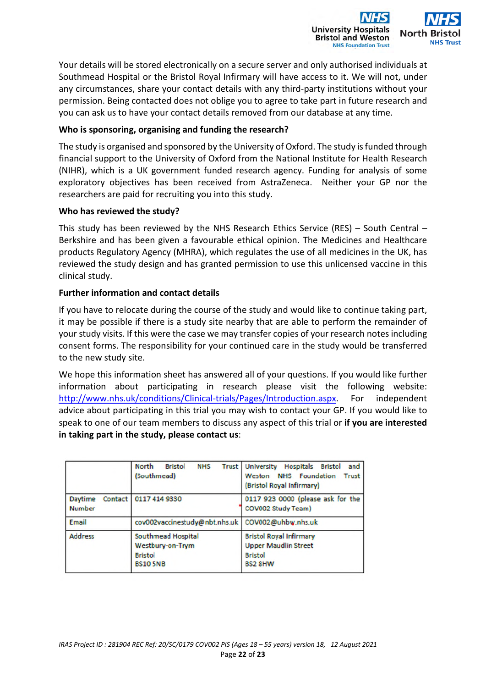

Your details will be stored electronically on a secure server and only authorised individuals at Southmead Hospital or the Bristol Royal Infirmary will have access to it. We will not, under any circumstances, share your contact details with any third-party institutions without your permission. Being contacted does not oblige you to agree to take part in future research and you can ask us to have your contact details removed from our database at any time.

## **Who is sponsoring, organising and funding the research?**

The study is organised and sponsored by the University of Oxford. The study is funded through financial support to the University of Oxford from the National Institute for Health Research (NIHR), which is a UK government funded research agency. Funding for analysis of some exploratory objectives has been received from AstraZeneca. Neither your GP nor the researchers are paid for recruiting you into this study.

## **Who has reviewed the study?**

This study has been reviewed by the NHS Research Ethics Service (RES) – South Central – Berkshire and has been given a favourable ethical opinion. The Medicines and Healthcare products Regulatory Agency (MHRA), which regulates the use of all medicines in the UK, has reviewed the study design and has granted permission to use this unlicensed vaccine in this clinical study.

## **Further information and contact details**

If you have to relocate during the course of the study and would like to continue taking part, it may be possible if there is a study site nearby that are able to perform the remainder of your study visits. If this were the case we may transfer copies of your research notes including consent forms. The responsibility for your continued care in the study would be transferred to the new study site.

We hope this information sheet has answered all of your questions. If you would like further information about participating in research please visit the following website: http://www.nhs.uk/conditions/Clinical-trials/Pages/Introduction.aspx. For independent advice about participating in this trial you may wish to contact your GP. If you would like to speak to one of our team members to discuss any aspect of this trial or **if you are interested in taking part in the study, please contact us**:

|                          | <b>North</b><br><b>Bristol</b><br><b>NHS</b><br>(Southmead)                | Trust University Hospitals Bristol<br>and<br>Weston NHS Foundation<br><b>Trust</b><br><b>Bristol Royal Infirmary)</b> |
|--------------------------|----------------------------------------------------------------------------|-----------------------------------------------------------------------------------------------------------------------|
| Daytime<br><b>Number</b> | Contact   0117 414 9330                                                    | 0117 923 0000 (please ask for the<br><b>COV002 Study Team)</b>                                                        |
| Email                    | cov002vaccinestudy@nbt.nhs.uk                                              | COV002@uhbw.nhs.uk                                                                                                    |
| <b>Address</b>           | Southmead Hospital<br>Westbury-on-Trym<br><b>Bristol</b><br><b>BS105NB</b> | <b>Bristol Royal Infirmary</b><br><b>Upper Maudlin Street</b><br><b>Bristol</b><br><b>BS2 8HW</b>                     |